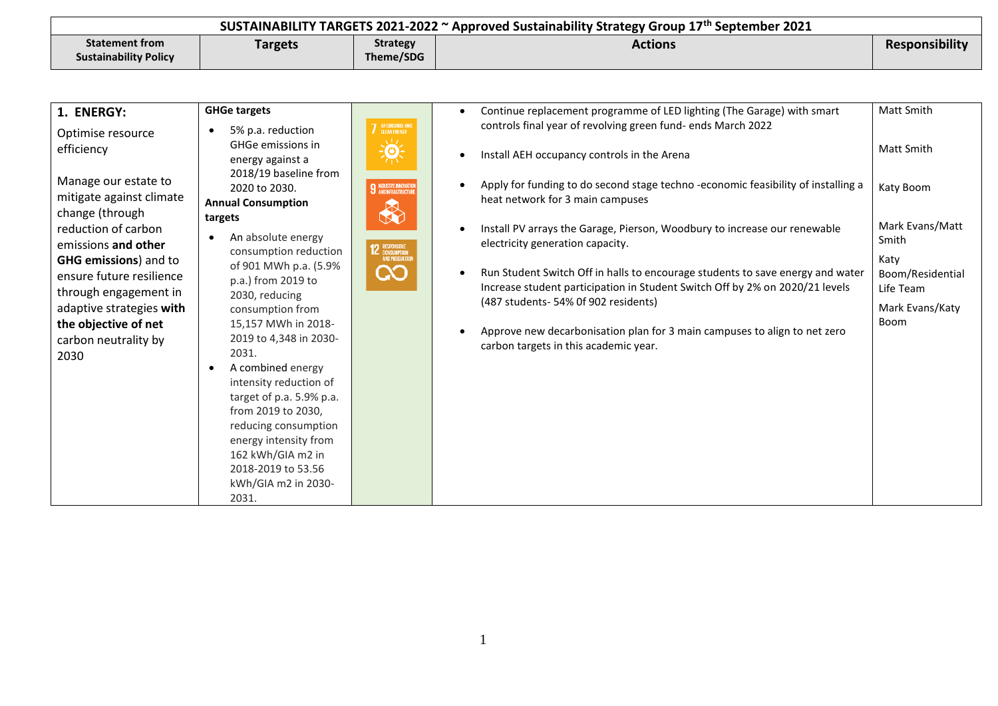| SUSTAINABILITY TARGETS 2021-2022 ~ Approved Sustainability Strategy Group 17 <sup>th</sup> September 2021 |         |                 |         |                       |
|-----------------------------------------------------------------------------------------------------------|---------|-----------------|---------|-----------------------|
| <b>Statement from</b>                                                                                     | Targets | <b>Strategy</b> | Actions | <b>Responsibility</b> |
| <b>Sustainability Policy</b>                                                                              |         | Theme/SDG       |         |                       |

| 1. ENERGY:                                                                                                                                                                                                                                                                                  | <b>GHGe targets</b>                                                                                                                                                                                                                                                                                                                                                                                                                                                                           |                                                                                 | Continue replacement programme of LED lighting (The Garage) with smart                                                                                                                                                                                                                                                                                                                                                                                                                                                                                                                                                                                      | Matt Smith                                                                                                       |
|---------------------------------------------------------------------------------------------------------------------------------------------------------------------------------------------------------------------------------------------------------------------------------------------|-----------------------------------------------------------------------------------------------------------------------------------------------------------------------------------------------------------------------------------------------------------------------------------------------------------------------------------------------------------------------------------------------------------------------------------------------------------------------------------------------|---------------------------------------------------------------------------------|-------------------------------------------------------------------------------------------------------------------------------------------------------------------------------------------------------------------------------------------------------------------------------------------------------------------------------------------------------------------------------------------------------------------------------------------------------------------------------------------------------------------------------------------------------------------------------------------------------------------------------------------------------------|------------------------------------------------------------------------------------------------------------------|
| Optimise resource<br>efficiency                                                                                                                                                                                                                                                             | 5% p.a. reduction<br>GHGe emissions in                                                                                                                                                                                                                                                                                                                                                                                                                                                        | 7 AFFORDABLE AND                                                                | controls final year of revolving green fund- ends March 2022<br>$\bullet$                                                                                                                                                                                                                                                                                                                                                                                                                                                                                                                                                                                   | <b>Matt Smith</b>                                                                                                |
| Manage our estate to<br>mitigate against climate<br>change (through<br>reduction of carbon<br>emissions and other<br><b>GHG emissions</b> ) and to<br>ensure future resilience<br>through engagement in<br>adaptive strategies with<br>the objective of net<br>carbon neutrality by<br>2030 | energy against a<br>2018/19 baseline from<br>2020 to 2030.<br><b>Annual Consumption</b><br>targets<br>An absolute energy<br>consumption reduction<br>of 901 MWh p.a. (5.9%<br>p.a.) from 2019 to<br>2030, reducing<br>consumption from<br>15,157 MWh in 2018-<br>2019 to 4,348 in 2030-<br>2031.<br>A combined energy<br>intensity reduction of<br>target of p.a. 5.9% p.a.<br>from 2019 to 2030,<br>reducing consumption<br>energy intensity from<br>162 kWh/GIA m2 in<br>2018-2019 to 53.56 | 美<br><b>9</b> INDUSTRY, INNOVATION<br>H<br>12 ESPONSIBLE<br>AND PRODUCTION<br>လ | Install AEH occupancy controls in the Arena<br>Apply for funding to do second stage techno -economic feasibility of installing a<br>$\bullet$<br>heat network for 3 main campuses<br>Install PV arrays the Garage, Pierson, Woodbury to increase our renewable<br>$\bullet$<br>electricity generation capacity.<br>Run Student Switch Off in halls to encourage students to save energy and water<br>$\bullet$<br>Increase student participation in Student Switch Off by 2% on 2020/21 levels<br>(487 students-54% Of 902 residents)<br>Approve new decarbonisation plan for 3 main campuses to align to net zero<br>carbon targets in this academic year. | Katy Boom<br>Mark Evans/Matt<br>Smith<br>Katy<br>Boom/Residential<br>Life Team<br>Mark Evans/Katy<br><b>Boom</b> |
|                                                                                                                                                                                                                                                                                             | kWh/GIA m2 in 2030-<br>2031.                                                                                                                                                                                                                                                                                                                                                                                                                                                                  |                                                                                 |                                                                                                                                                                                                                                                                                                                                                                                                                                                                                                                                                                                                                                                             |                                                                                                                  |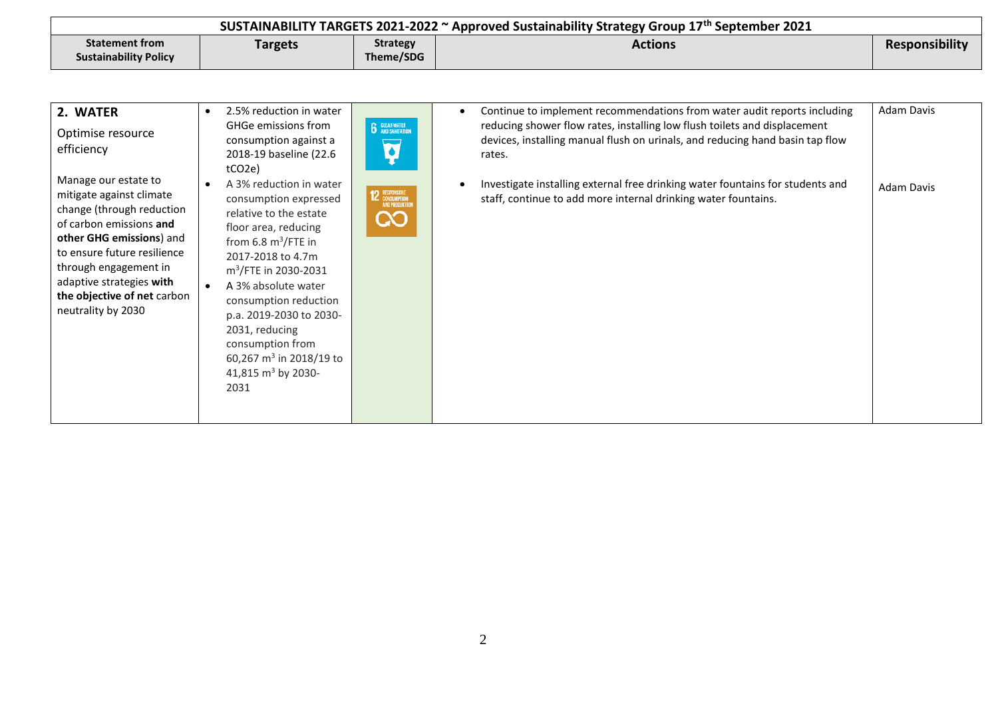| SUSTAINABILITY TARGETS 2021-2022 $\sim$ Approved Sustainability Strategy Group 17 <sup>th</sup> September 2021 |         |                 |         |                |
|----------------------------------------------------------------------------------------------------------------|---------|-----------------|---------|----------------|
| <b>Statement from</b>                                                                                          | Targets | <b>Strategy</b> | Actions | Responsibility |
| <b>Sustainability Policy</b>                                                                                   |         | Theme/SDG       |         |                |

| 2. WATER<br>Optimise resource<br>efficiency                                                                                                                                                                                                                                   | 2.5% reduction in water<br>$\bullet$<br>GHGe emissions from<br>consumption against a<br>2018-19 baseline (22.6<br>tCO2e)                                                                                                                                                                                                                                                                                | <b>6</b> GLEANWATER                          | Adam Davis<br>Continue to implement recommendations from water audit reports including<br>reducing shower flow rates, installing low flush toilets and displacement<br>devices, installing manual flush on urinals, and reducing hand basin tap flow<br>rates. |
|-------------------------------------------------------------------------------------------------------------------------------------------------------------------------------------------------------------------------------------------------------------------------------|---------------------------------------------------------------------------------------------------------------------------------------------------------------------------------------------------------------------------------------------------------------------------------------------------------------------------------------------------------------------------------------------------------|----------------------------------------------|----------------------------------------------------------------------------------------------------------------------------------------------------------------------------------------------------------------------------------------------------------------|
| Manage our estate to<br>mitigate against climate<br>change (through reduction<br>of carbon emissions and<br>other GHG emissions) and<br>to ensure future resilience<br>through engagement in<br>adaptive strategies with<br>the objective of net carbon<br>neutrality by 2030 | A 3% reduction in water<br>$\bullet$<br>consumption expressed<br>relative to the estate<br>floor area, reducing<br>from 6.8 $m^3$ /FTE in<br>2017-2018 to 4.7m<br>m <sup>3</sup> /FTE in 2030-2031<br>A 3% absolute water<br>$\bullet$<br>consumption reduction<br>p.a. 2019-2030 to 2030-<br>2031, reducing<br>consumption from<br>60,267 m <sup>3</sup> in 2018/19 to<br>41,815 $m3$ by 2030-<br>2031 | <b>12 RESPONSIBLE</b><br>AND PRODUCTION<br>လ | Investigate installing external free drinking water fountains for students and<br>Adam Davis<br>staff, continue to add more internal drinking water fountains.                                                                                                 |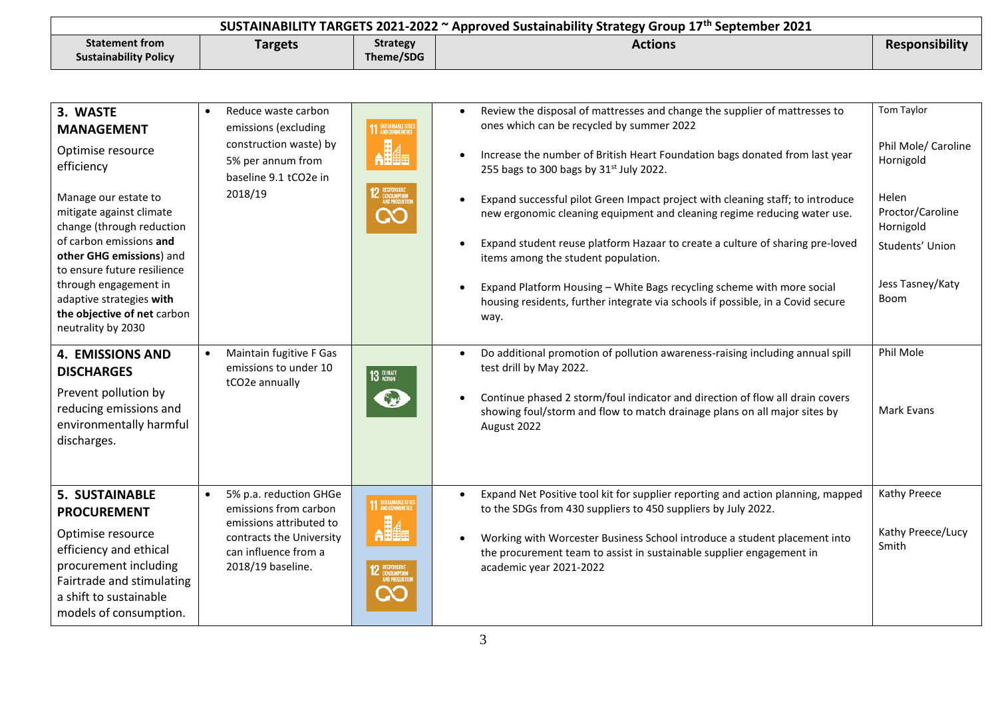| SUSTAINABILITY TARGETS 2021-2022 $\sim$ Approved Sustainability Strategy Group 17 <sup>th</sup> September 2021 |                |                 |         |                |
|----------------------------------------------------------------------------------------------------------------|----------------|-----------------|---------|----------------|
| <b>Statement from</b>                                                                                          | <b>Targets</b> | <b>Strategy</b> | Actions | Responsibility |
| <b>Sustainability Policy</b>                                                                                   |                | Theme/SDG       |         |                |

| 3. WASTE<br><b>MANAGEMENT</b><br>Optimise resource<br>efficiency<br>Manage our estate to<br>mitigate against climate<br>change (through reduction<br>of carbon emissions and<br>other GHG emissions) and<br>to ensure future resilience<br>through engagement in<br>adaptive strategies with<br>the objective of net carbon<br>neutrality by 2030 | Reduce waste carbon<br>$\bullet$<br>emissions (excluding<br>construction waste) by<br>5% per annum from<br>baseline 9.1 tCO2e in<br>2018/19         | <b>11 SUSTAINABLE CITIES</b><br>2 RESPONSIBLE<br>AND PRODUCTI               | Review the disposal of mattresses and change the supplier of mattresses to<br>ones which can be recycled by summer 2022<br>Increase the number of British Heart Foundation bags donated from last year<br>255 bags to 300 bags by $31st$ July 2022.<br>Expand successful pilot Green Impact project with cleaning staff; to introduce<br>new ergonomic cleaning equipment and cleaning regime reducing water use.<br>Expand student reuse platform Hazaar to create a culture of sharing pre-loved<br>$\bullet$<br>items among the student population.<br>Expand Platform Housing - White Bags recycling scheme with more social<br>housing residents, further integrate via schools if possible, in a Covid secure<br>way. | Tom Taylor<br>Phil Mole/ Caroline<br>Hornigold<br>Helen<br>Proctor/Caroline<br>Hornigold<br>Students' Union<br>Jess Tasney/Katy<br><b>Boom</b> |
|---------------------------------------------------------------------------------------------------------------------------------------------------------------------------------------------------------------------------------------------------------------------------------------------------------------------------------------------------|-----------------------------------------------------------------------------------------------------------------------------------------------------|-----------------------------------------------------------------------------|-----------------------------------------------------------------------------------------------------------------------------------------------------------------------------------------------------------------------------------------------------------------------------------------------------------------------------------------------------------------------------------------------------------------------------------------------------------------------------------------------------------------------------------------------------------------------------------------------------------------------------------------------------------------------------------------------------------------------------|------------------------------------------------------------------------------------------------------------------------------------------------|
| <b>4. EMISSIONS AND</b><br><b>DISCHARGES</b><br>Prevent pollution by<br>reducing emissions and<br>environmentally harmful<br>discharges.                                                                                                                                                                                                          | Maintain fugitive F Gas<br>emissions to under 10<br>tCO2e annually                                                                                  | 13 GUNATE                                                                   | Do additional promotion of pollution awareness-raising including annual spill<br>$\bullet$<br>test drill by May 2022.<br>Continue phased 2 storm/foul indicator and direction of flow all drain covers<br>showing foul/storm and flow to match drainage plans on all major sites by<br>August 2022                                                                                                                                                                                                                                                                                                                                                                                                                          | Phil Mole<br>Mark Evans                                                                                                                        |
| <b>5. SUSTAINABLE</b><br><b>PROCUREMENT</b><br>Optimise resource<br>efficiency and ethical<br>procurement including<br>Fairtrade and stimulating<br>a shift to sustainable<br>models of consumption.                                                                                                                                              | 5% p.a. reduction GHGe<br>emissions from carbon<br>emissions attributed to<br>contracts the University<br>can influence from a<br>2018/19 baseline. | 11 SUSTAINABLE CITIES<br><b>2 RESPONSIBLE</b><br>CONSUMPTION<br>AND PRODUCT | Expand Net Positive tool kit for supplier reporting and action planning, mapped<br>$\bullet$<br>to the SDGs from 430 suppliers to 450 suppliers by July 2022.<br>Working with Worcester Business School introduce a student placement into<br>the procurement team to assist in sustainable supplier engagement in<br>academic year 2021-2022                                                                                                                                                                                                                                                                                                                                                                               | Kathy Preece<br>Kathy Preece/Lucy<br>Smith                                                                                                     |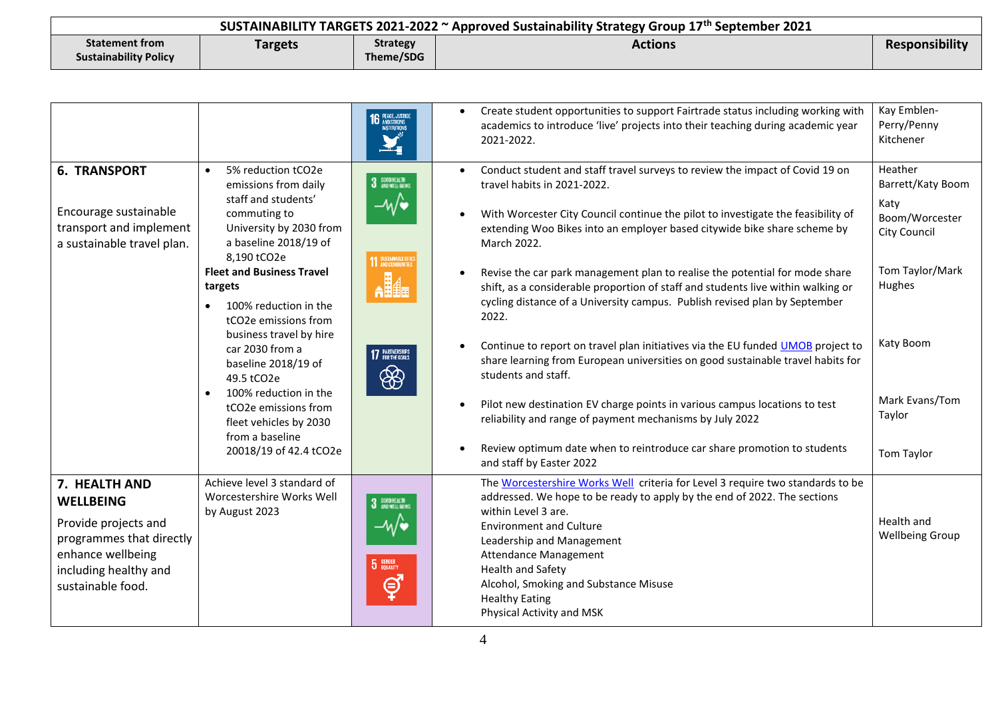| SUSTAINABILITY TARGETS 2021-2022 $\sim$ Approved Sustainability Strategy Group 17 <sup>th</sup> September 2021 |         |                 |         |                       |
|----------------------------------------------------------------------------------------------------------------|---------|-----------------|---------|-----------------------|
| <b>Statement from</b>                                                                                          | Targets | <b>Strategy</b> | Actions | <b>Responsibility</b> |
| <b>Sustainability Policy</b>                                                                                   |         | Theme/SDG       |         |                       |

|                                                                                                                                                          |                                                                                                                                                                                                                                                                                                                                                                                                                                                                                                        | <b>16</b> PEACE, JUSTICE                                          | Create student opportunities to support Fairtrade status including working with<br>academics to introduce 'live' projects into their teaching during academic year<br>2021-2022.                                                                                                                                                                                                                                                                                                                                                                                                                                                                                                                                                                                                                                                                                                                                                                                                                                | Kay Emblen-<br>Perry/Penny<br>Kitchener                                                                                                                           |
|----------------------------------------------------------------------------------------------------------------------------------------------------------|--------------------------------------------------------------------------------------------------------------------------------------------------------------------------------------------------------------------------------------------------------------------------------------------------------------------------------------------------------------------------------------------------------------------------------------------------------------------------------------------------------|-------------------------------------------------------------------|-----------------------------------------------------------------------------------------------------------------------------------------------------------------------------------------------------------------------------------------------------------------------------------------------------------------------------------------------------------------------------------------------------------------------------------------------------------------------------------------------------------------------------------------------------------------------------------------------------------------------------------------------------------------------------------------------------------------------------------------------------------------------------------------------------------------------------------------------------------------------------------------------------------------------------------------------------------------------------------------------------------------|-------------------------------------------------------------------------------------------------------------------------------------------------------------------|
| <b>6. TRANSPORT</b><br>Encourage sustainable<br>transport and implement<br>a sustainable travel plan.                                                    | 5% reduction tCO2e<br>$\bullet$<br>emissions from daily<br>staff and students'<br>commuting to<br>University by 2030 from<br>a baseline 2018/19 of<br>8,190 tCO2e<br><b>Fleet and Business Travel</b><br>targets<br>100% reduction in the<br>tCO <sub>2</sub> e emissions from<br>business travel by hire<br>car 2030 from a<br>baseline 2018/19 of<br>49.5 tCO2e<br>100% reduction in the<br>$\bullet$<br>tCO2e emissions from<br>fleet vehicles by 2030<br>from a baseline<br>20018/19 of 42.4 tCO2e | 3 DODHEACH<br><b>11 SUSTAINABLE CITTE</b><br>17 PARTNERSHIPS<br>❀ | Conduct student and staff travel surveys to review the impact of Covid 19 on<br>$\bullet$<br>travel habits in 2021-2022.<br>With Worcester City Council continue the pilot to investigate the feasibility of<br>extending Woo Bikes into an employer based citywide bike share scheme by<br>March 2022.<br>Revise the car park management plan to realise the potential for mode share<br>shift, as a considerable proportion of staff and students live within walking or<br>cycling distance of a University campus. Publish revised plan by September<br>2022.<br>Continue to report on travel plan initiatives via the EU funded UMOB project to<br>share learning from European universities on good sustainable travel habits for<br>students and staff.<br>Pilot new destination EV charge points in various campus locations to test<br>reliability and range of payment mechanisms by July 2022<br>Review optimum date when to reintroduce car share promotion to students<br>and staff by Easter 2022 | Heather<br>Barrett/Katy Boom<br>Katy<br>Boom/Worcester<br><b>City Council</b><br>Tom Taylor/Mark<br>Hughes<br>Katy Boom<br>Mark Evans/Tom<br>Taylor<br>Tom Taylor |
| 7. HEALTH AND<br><b>WELLBEING</b><br>Provide projects and<br>programmes that directly<br>enhance wellbeing<br>including healthy and<br>sustainable food. | Achieve level 3 standard of<br>Worcestershire Works Well<br>by August 2023                                                                                                                                                                                                                                                                                                                                                                                                                             | 3 DODHEALTH<br>5 GENDER<br>ේ                                      | The Worcestershire Works Well criteria for Level 3 require two standards to be<br>addressed. We hope to be ready to apply by the end of 2022. The sections<br>within Level 3 are.<br><b>Environment and Culture</b><br>Leadership and Management<br><b>Attendance Management</b><br><b>Health and Safety</b><br>Alcohol, Smoking and Substance Misuse<br><b>Healthy Eating</b><br>Physical Activity and MSK                                                                                                                                                                                                                                                                                                                                                                                                                                                                                                                                                                                                     | Health and<br><b>Wellbeing Group</b>                                                                                                                              |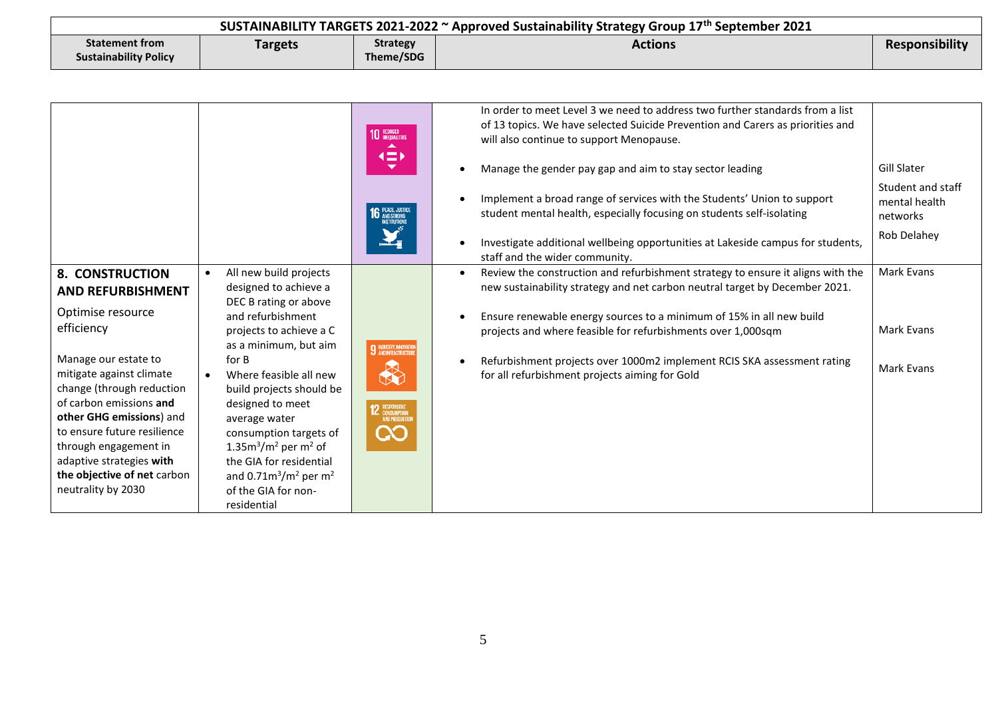| SUSTAINABILITY TARGETS 2021-2022 $\sim$ Approved Sustainability Strategy Group 17 <sup>th</sup> September 2021 |         |                 |         |                |
|----------------------------------------------------------------------------------------------------------------|---------|-----------------|---------|----------------|
| <b>Statement from</b>                                                                                          | Targets | <b>Strategy</b> | Actions | Responsibility |
| <b>Sustainability Policy</b>                                                                                   |         | Theme/SDG       |         |                |

|                                                                                                                                                                                                                                                                                                                                                                        |                                                                                                                                                                                                                                                                                                                                                                                                                                                            | <b>10 REDUCED</b><br>(二)<br><b>16 PEACE, JUSTICE</b>                                  | In order to meet Level 3 we need to address two further standards from a list<br>of 13 topics. We have selected Suicide Prevention and Carers as priorities and<br>will also continue to support Menopause.<br>Manage the gender pay gap and aim to stay sector leading<br>Implement a broad range of services with the Students' Union to support<br>student mental health, especially focusing on students self-isolating<br>Investigate additional wellbeing opportunities at Lakeside campus for students,<br>staff and the wider community. | <b>Gill Slater</b><br>Student and staff<br>mental health<br>networks<br>Rob Delahey |
|------------------------------------------------------------------------------------------------------------------------------------------------------------------------------------------------------------------------------------------------------------------------------------------------------------------------------------------------------------------------|------------------------------------------------------------------------------------------------------------------------------------------------------------------------------------------------------------------------------------------------------------------------------------------------------------------------------------------------------------------------------------------------------------------------------------------------------------|---------------------------------------------------------------------------------------|--------------------------------------------------------------------------------------------------------------------------------------------------------------------------------------------------------------------------------------------------------------------------------------------------------------------------------------------------------------------------------------------------------------------------------------------------------------------------------------------------------------------------------------------------|-------------------------------------------------------------------------------------|
| <b>8. CONSTRUCTION</b><br><b>AND REFURBISHMENT</b><br>Optimise resource<br>efficiency<br>Manage our estate to<br>mitigate against climate<br>change (through reduction<br>of carbon emissions and<br>other GHG emissions) and<br>to ensure future resilience<br>through engagement in<br>adaptive strategies with<br>the objective of net carbon<br>neutrality by 2030 | All new build projects<br>$\bullet$<br>designed to achieve a<br>DEC B rating or above<br>and refurbishment<br>projects to achieve a C<br>as a minimum, but aim<br>for B<br>Where feasible all new<br>$\bullet$<br>build projects should be<br>designed to meet<br>average water<br>consumption targets of<br>1.35 $m^3/m^2$ per m <sup>2</sup> of<br>the GIA for residential<br>and $0.71m^3/m^2$ per m <sup>2</sup><br>of the GIA for non-<br>residential | <b>9</b> INDUSTRY, INNOVATION<br><b>12</b> RESPONSIBLE<br>AND PRODUCTION<br><b>CO</b> | Review the construction and refurbishment strategy to ensure it aligns with the<br>$\bullet$<br>new sustainability strategy and net carbon neutral target by December 2021.<br>Ensure renewable energy sources to a minimum of 15% in all new build<br>projects and where feasible for refurbishments over 1,000sqm<br>Refurbishment projects over 1000m2 implement RCIS SKA assessment rating<br>for all refurbishment projects aiming for Gold                                                                                                 | Mark Evans<br>Mark Evans<br>Mark Evans                                              |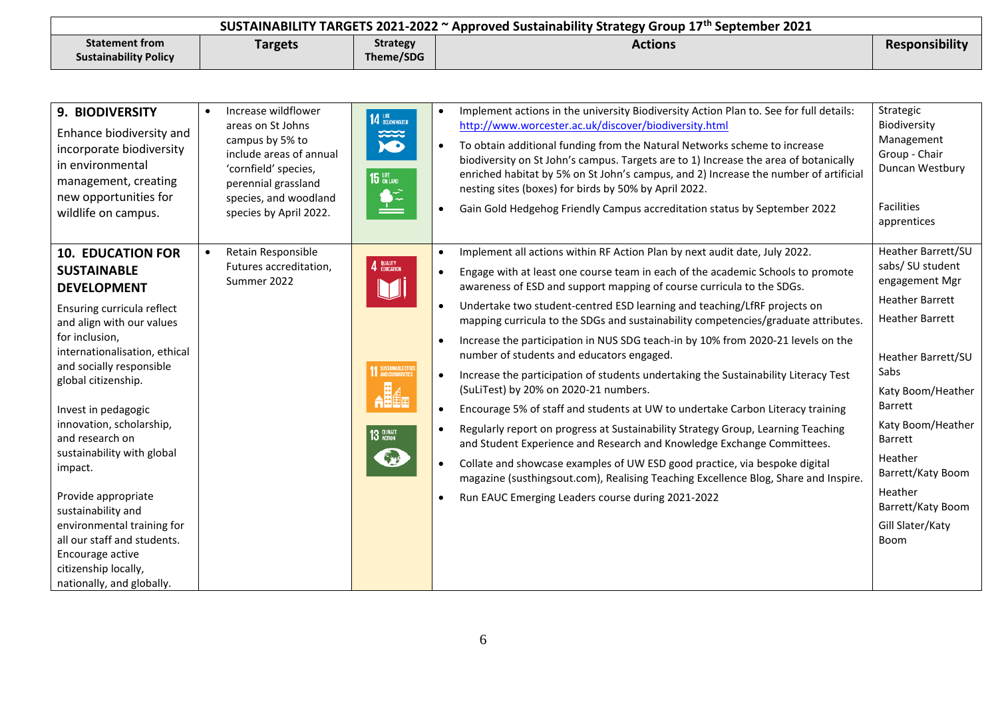| SUSTAINABILITY TARGETS 2021-2022 $\sim$ Approved Sustainability Strategy Group 17 <sup>th</sup> September 2021 |                |                 |                |                       |
|----------------------------------------------------------------------------------------------------------------|----------------|-----------------|----------------|-----------------------|
| <b>Statement from</b>                                                                                          | <b>Targets</b> | <b>Strategy</b> | <b>Actions</b> | <b>Responsibility</b> |
| <b>Sustainability Policy</b>                                                                                   |                | Theme/SDG       |                |                       |

| 9. BIODIVERSITY<br>Enhance biodiversity and<br>incorporate biodiversity<br>in environmental<br>management, creating<br>new opportunities for<br>wildlife on campus.                                                                                                                                                                                                                                                                                                                | Increase wildflower<br>areas on St Johns<br>campus by 5% to<br>include areas of annual<br>'cornfield' species,<br>perennial grassland<br>species, and woodland<br>species by April 2022. | 14 BELOW WATER<br>ಮದ<br>$\bullet$<br><b>15 UFE</b>     | Implement actions in the university Biodiversity Action Plan to. See for full details:<br>http://www.worcester.ac.uk/discover/biodiversity.html<br>To obtain additional funding from the Natural Networks scheme to increase<br>biodiversity on St John's campus. Targets are to 1) Increase the area of botanically<br>enriched habitat by 5% on St John's campus, and 2) Increase the number of artificial<br>nesting sites (boxes) for birds by 50% by April 2022.<br>Gain Gold Hedgehog Friendly Campus accreditation status by September 2022                                                                                                                                                                                                                                                                                                                                                                                                                                                                                                                                                                                                                                         | Strategic<br>Biodiversity<br>Management<br>Group - Chair<br>Duncan Westbury<br>Facilities<br>apprentices                                                                                                                                                                                              |
|------------------------------------------------------------------------------------------------------------------------------------------------------------------------------------------------------------------------------------------------------------------------------------------------------------------------------------------------------------------------------------------------------------------------------------------------------------------------------------|------------------------------------------------------------------------------------------------------------------------------------------------------------------------------------------|--------------------------------------------------------|--------------------------------------------------------------------------------------------------------------------------------------------------------------------------------------------------------------------------------------------------------------------------------------------------------------------------------------------------------------------------------------------------------------------------------------------------------------------------------------------------------------------------------------------------------------------------------------------------------------------------------------------------------------------------------------------------------------------------------------------------------------------------------------------------------------------------------------------------------------------------------------------------------------------------------------------------------------------------------------------------------------------------------------------------------------------------------------------------------------------------------------------------------------------------------------------|-------------------------------------------------------------------------------------------------------------------------------------------------------------------------------------------------------------------------------------------------------------------------------------------------------|
| <b>10. EDUCATION FOR</b><br><b>SUSTAINABLE</b><br><b>DEVELOPMENT</b><br>Ensuring curricula reflect<br>and align with our values<br>for inclusion,<br>internationalisation, ethical<br>and socially responsible<br>global citizenship.<br>Invest in pedagogic<br>innovation, scholarship,<br>and research on<br>sustainability with global<br>impact.<br>Provide appropriate<br>sustainability and<br>environmental training for<br>all our staff and students.<br>Encourage active | Retain Responsible<br>Futures accreditation,<br>Summer 2022                                                                                                                              | 4 BUALITY<br><b>11 SUSTAINABLE CITIES</b><br>13 GUNATE | Implement all actions within RF Action Plan by next audit date, July 2022.<br>$\bullet$<br>Engage with at least one course team in each of the academic Schools to promote<br>awareness of ESD and support mapping of course curricula to the SDGs.<br>Undertake two student-centred ESD learning and teaching/LfRF projects on<br>mapping curricula to the SDGs and sustainability competencies/graduate attributes.<br>Increase the participation in NUS SDG teach-in by 10% from 2020-21 levels on the<br>number of students and educators engaged.<br>Increase the participation of students undertaking the Sustainability Literacy Test<br>(SuLiTest) by 20% on 2020-21 numbers.<br>Encourage 5% of staff and students at UW to undertake Carbon Literacy training<br>Regularly report on progress at Sustainability Strategy Group, Learning Teaching<br>$\bullet$<br>and Student Experience and Research and Knowledge Exchange Committees.<br>Collate and showcase examples of UW ESD good practice, via bespoke digital<br>$\bullet$<br>magazine (susthingsout.com), Realising Teaching Excellence Blog, Share and Inspire.<br>Run EAUC Emerging Leaders course during 2021-2022 | Heather Barrett/SU<br>sabs/SU student<br>engagement Mgr<br><b>Heather Barrett</b><br><b>Heather Barrett</b><br>Heather Barrett/SU<br>Sabs<br>Katy Boom/Heather<br>Barrett<br>Katy Boom/Heather<br>Barrett<br>Heather<br>Barrett/Katy Boom<br>Heather<br>Barrett/Katy Boom<br>Gill Slater/Katy<br>Boom |
| citizenship locally,<br>nationally, and globally.                                                                                                                                                                                                                                                                                                                                                                                                                                  |                                                                                                                                                                                          |                                                        |                                                                                                                                                                                                                                                                                                                                                                                                                                                                                                                                                                                                                                                                                                                                                                                                                                                                                                                                                                                                                                                                                                                                                                                            |                                                                                                                                                                                                                                                                                                       |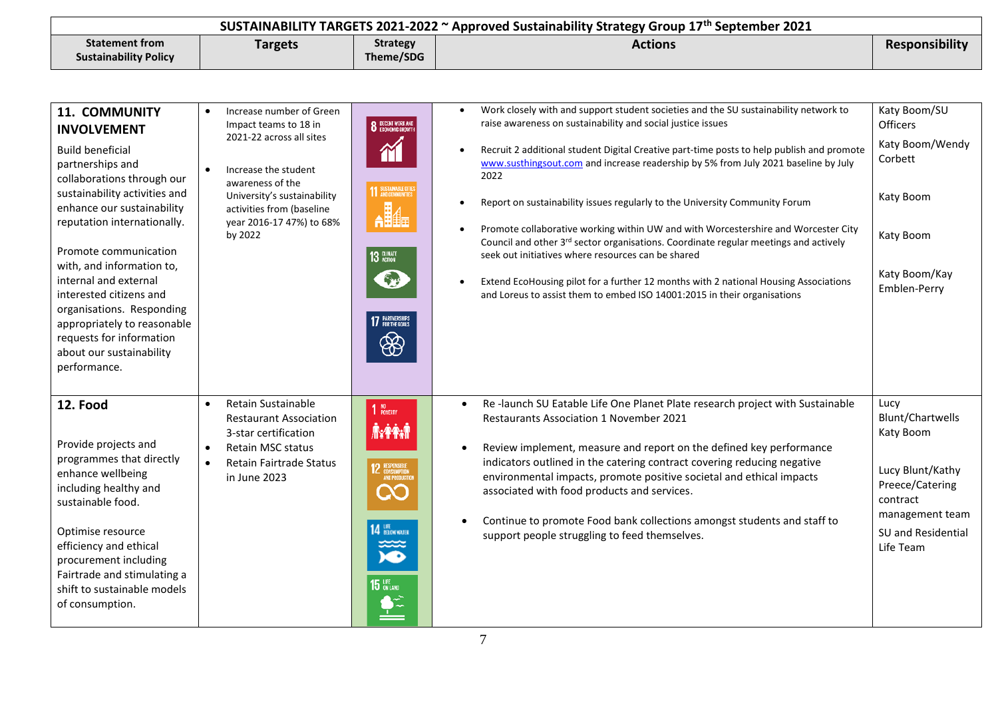| SUSTAINABILITY TARGETS 2021-2022 $\sim$ Approved Sustainability Strategy Group 17 <sup>th</sup> September 2021 |                |                 |         |                |
|----------------------------------------------------------------------------------------------------------------|----------------|-----------------|---------|----------------|
| <b>Statement from</b>                                                                                          | <b>Targets</b> | <b>Strategy</b> | Actions | Responsibility |
| <b>Sustainability Policy</b>                                                                                   |                | Theme/SDG       |         |                |

| <b>11. COMMUNITY</b><br><b>INVOLVEMENT</b><br><b>Build beneficial</b><br>partnerships and<br>collaborations through our<br>sustainability activities and<br>enhance our sustainability<br>reputation internationally.<br>Promote communication<br>with, and information to,<br>internal and external<br>interested citizens and<br>organisations. Responding<br>appropriately to reasonable<br>requests for information<br>about our sustainability<br>performance. | Increase number of Green<br>$\bullet$<br>Impact teams to 18 in<br>2021-22 across all sites<br>Increase the student<br>$\bullet$<br>awareness of the<br>University's sustainability<br>activities from (baseline<br>year 2016-17 47%) to 68%<br>by 2022 | <b>8</b> DECENT WORK AND<br>M<br><b>11 SUSTAINABLE CITIE</b><br>13 GLIMATE<br>17 PARTNERSHIPS<br>₩                          | Work closely with and support student societies and the SU sustainability network to<br>raise awareness on sustainability and social justice issues<br>Recruit 2 additional student Digital Creative part-time posts to help publish and promote<br>www.susthingsout.com and increase readership by 5% from July 2021 baseline by July<br>2022<br>Report on sustainability issues regularly to the University Community Forum<br>Promote collaborative working within UW and with Worcestershire and Worcester City<br>$\bullet$<br>Council and other 3rd sector organisations. Coordinate regular meetings and actively<br>seek out initiatives where resources can be shared<br>Extend EcoHousing pilot for a further 12 months with 2 national Housing Associations<br>$\bullet$<br>and Loreus to assist them to embed ISO 14001:2015 in their organisations | Katy Boom/SU<br><b>Officers</b><br>Katy Boom/Wendy<br>Corbett<br>Katy Boom<br>Katy Boom<br>Katy Boom/Kay<br>Emblen-Perry                       |
|---------------------------------------------------------------------------------------------------------------------------------------------------------------------------------------------------------------------------------------------------------------------------------------------------------------------------------------------------------------------------------------------------------------------------------------------------------------------|--------------------------------------------------------------------------------------------------------------------------------------------------------------------------------------------------------------------------------------------------------|-----------------------------------------------------------------------------------------------------------------------------|-----------------------------------------------------------------------------------------------------------------------------------------------------------------------------------------------------------------------------------------------------------------------------------------------------------------------------------------------------------------------------------------------------------------------------------------------------------------------------------------------------------------------------------------------------------------------------------------------------------------------------------------------------------------------------------------------------------------------------------------------------------------------------------------------------------------------------------------------------------------|------------------------------------------------------------------------------------------------------------------------------------------------|
| 12. Food<br>Provide projects and<br>programmes that directly<br>enhance wellbeing<br>including healthy and<br>sustainable food.<br>Optimise resource<br>efficiency and ethical<br>procurement including<br>Fairtrade and stimulating a<br>shift to sustainable models<br>of consumption.                                                                                                                                                                            | Retain Sustainable<br>$\bullet$<br><b>Restaurant Association</b><br>3-star certification<br><b>Retain MSC status</b><br>$\bullet$<br>Retain Fairtrade Status<br>$\bullet$<br>in June 2023                                                              | $110$ ROVERTY<br><b>AXPART</b><br><b>12</b> RESPONSIBLE<br>AND PRODUCTION<br>Q0<br>14 BROWNNIE<br>≭≍<br><b>KD</b><br>15 UFF | Re-launch SU Eatable Life One Planet Plate research project with Sustainable<br>$\bullet$<br><b>Restaurants Association 1 November 2021</b><br>Review implement, measure and report on the defined key performance<br>indicators outlined in the catering contract covering reducing negative<br>environmental impacts, promote positive societal and ethical impacts<br>associated with food products and services.<br>Continue to promote Food bank collections amongst students and staff to<br>support people struggling to feed themselves.                                                                                                                                                                                                                                                                                                                | Lucy<br>Blunt/Chartwells<br>Katy Boom<br>Lucy Blunt/Kathy<br>Preece/Catering<br>contract<br>management team<br>SU and Residential<br>Life Team |